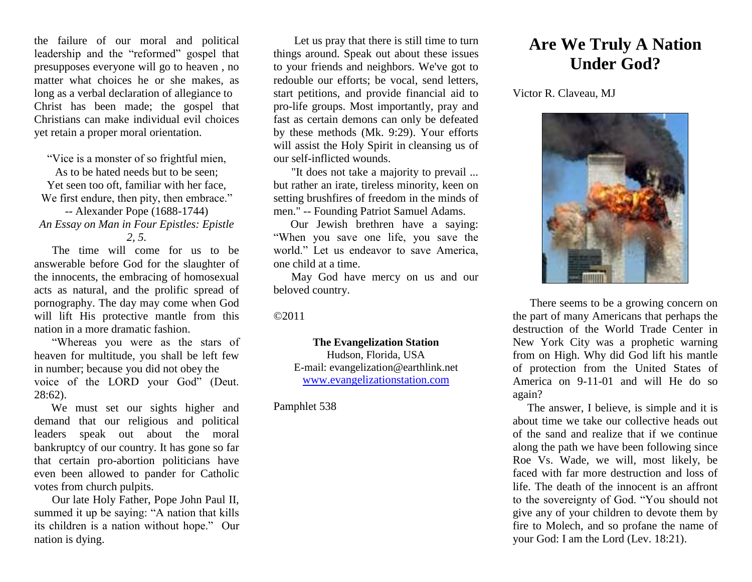the failure of our moral and political leadership and the "reformed" gospel that presupposes everyone will go to heaven , no matter what choices he or she makes, as long as a verbal declaration of allegiance to Christ has been made; the gospel that Christians can make individual evil choices yet retain a proper moral orientation.

"Vice is a monster of so frightful mien, As to be hated needs but to be seen; Yet seen too oft, familiar with her face, We first endure, then pity, then embrace." -- Alexander Pope (1688-1744) *An Essay on Man in Four Epistles: Epistle 2, 5.*

The time will come for us to be answerable before God for the slaughter of the innocents, the embracing of homosexual acts as natural, and the prolific spread of pornography. The day may come when God will lift His protective mantle from this nation in a more dramatic fashion.

"Whereas you were as the stars of heaven for multitude, you shall be left few in number; because you did not obey the voice of the LORD your God" (Deut. 28:62).

We must set our sights higher and demand that our religious and political leaders speak out about the moral bankruptcy of our country. It has gone so far that certain pro-abortion politicians have even been allowed to pander for Catholic votes from church pulpits.

Our late Holy Father, Pope John Paul II, summed it up be saying: "A nation that kills its children is a nation without hope." Our nation is dying.

Let us pray that there is still time to turn things around. Speak out about these issues to your friends and neighbors. We've got to redouble our efforts; be vocal, send letters, start petitions, and provide financial aid to pro-life groups. Most importantly, pray and fast as certain demons can only be defeated by these methods (Mk. 9:29). Your efforts will assist the Holy Spirit in cleansing us of our self-inflicted wounds.

"It does not take a majority to prevail ... but rather an irate, tireless minority, keen on setting brushfires of freedom in the minds of men." -- Founding Patriot Samuel Adams.

Our Jewish brethren have a saying: "When you save one life, you save the world." Let us endeavor to save America, one child at a time.

May God have mercy on us and our beloved country.

©2011

**The Evangelization Station** Hudson, Florida, USA E-mail: evangelization@earthlink.net [www.evangelizationstation.com](http://www.pjpiisoe.org/)

## Pamphlet 538

## **Are We Truly A Nation Under God?**

Victor R. Claveau, MJ



There seems to be a growing concern on the part of many Americans that perhaps the destruction of the World Trade Center in New York City was a prophetic warning from on High. Why did God lift his mantle of protection from the United States of America on 9-11-01 and will He do so again?

The answer, I believe, is simple and it is about time we take our collective heads out of the sand and realize that if we continue along the path we have been following since Roe Vs. Wade, we will, most likely, be faced with far more destruction and loss of life. The death of the innocent is an affront to the sovereignty of God. "You should not give any of your children to devote them by fire to Molech, and so profane the name of your God: I am the Lord (Lev. 18:21).